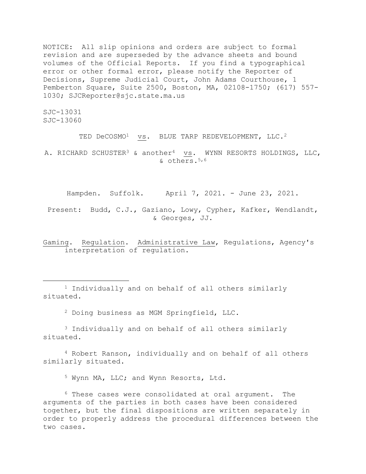NOTICE: All slip opinions and orders are subject to formal revision and are superseded by the advance sheets and bound volumes of the Official Reports. If you find a typographical error or other formal error, please notify the Reporter of Decisions, Supreme Judicial Court, John Adams Courthouse, 1 Pemberton Square, Suite 2500, Boston, MA, 02108-1750; (617) 557- 1030; SJCReporter@sjc.state.ma.us

SJC-13031 SJC-13060

TED DeCOSMO<sup>1</sup> vs. BLUE TARP REDEVELOPMENT, LLC.<sup>2</sup>

A. RICHARD SCHUSTER<sup>3</sup> & another<sup>4</sup> vs. WYNN RESORTS HOLDINGS, LLC, & others.5,6

Hampden. Suffolk. April 7, 2021. - June 23, 2021.

Present: Budd, C.J., Gaziano, Lowy, Cypher, Kafker, Wendlandt, & Georges, JJ.

Gaming. Regulation. Administrative Law, Regulations, Agency's interpretation of regulation.

<sup>1</sup> Individually and on behalf of all others similarly situated.

<sup>2</sup> Doing business as MGM Springfield, LLC.

<sup>3</sup> Individually and on behalf of all others similarly situated.

<sup>4</sup> Robert Ranson, individually and on behalf of all others similarly situated.

<sup>5</sup> Wynn MA, LLC; and Wynn Resorts, Ltd.

<sup>6</sup> These cases were consolidated at oral argument. The arguments of the parties in both cases have been considered together, but the final dispositions are written separately in order to properly address the procedural differences between the two cases.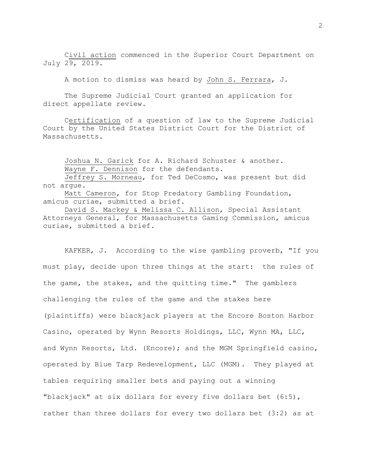Civil action commenced in the Superior Court Department on July 29, 2019.

A motion to dismiss was heard by John S. Ferrara, J.

The Supreme Judicial Court granted an application for direct appellate review.

Certification of a question of law to the Supreme Judicial Court by the United States District Court for the District of Massachusetts.

Joshua N. Garick for A. Richard Schuster & another. Wayne F. Dennison for the defendants.

Jeffrey S. Morneau, for Ted DeCosmo, was present but did not argue.

Matt Cameron, for Stop Predatory Gambling Foundation, amicus curiae, submitted a brief.

David S. Mackey & Melissa C. Allison, Special Assistant Attorneys General, for Massachusetts Gaming Commission, amicus curiae, submitted a brief.

KAFKER, J. According to the wise gambling proverb, "If you must play, decide upon three things at the start: the rules of the game, the stakes, and the quitting time." The gamblers challenging the rules of the game and the stakes here (plaintiffs) were blackjack players at the Encore Boston Harbor Casino, operated by Wynn Resorts Holdings, LLC, Wynn MA, LLC, and Wynn Resorts, Ltd. (Encore); and the MGM Springfield casino, operated by Blue Tarp Redevelopment, LLC (MGM). They played at tables requiring smaller bets and paying out a winning "blackjack" at six dollars for every five dollars bet (6:5), rather than three dollars for every two dollars bet (3:2) as at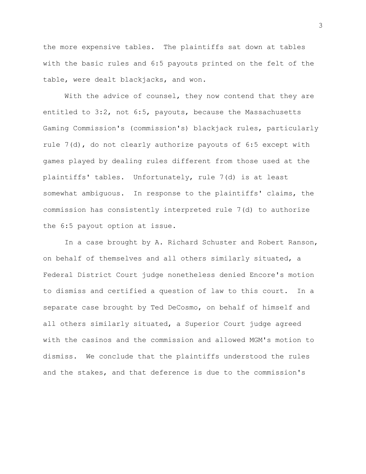the more expensive tables. The plaintiffs sat down at tables with the basic rules and 6:5 payouts printed on the felt of the table, were dealt blackjacks, and won.

With the advice of counsel, they now contend that they are entitled to 3:2, not 6:5, payouts, because the Massachusetts Gaming Commission's (commission's) blackjack rules, particularly rule 7(d), do not clearly authorize payouts of 6:5 except with games played by dealing rules different from those used at the plaintiffs' tables. Unfortunately, rule 7(d) is at least somewhat ambiguous. In response to the plaintiffs' claims, the commission has consistently interpreted rule 7(d) to authorize the 6:5 payout option at issue.

In a case brought by A. Richard Schuster and Robert Ranson, on behalf of themselves and all others similarly situated, a Federal District Court judge nonetheless denied Encore's motion to dismiss and certified a question of law to this court. In a separate case brought by Ted DeCosmo, on behalf of himself and all others similarly situated, a Superior Court judge agreed with the casinos and the commission and allowed MGM's motion to dismiss. We conclude that the plaintiffs understood the rules and the stakes, and that deference is due to the commission's

3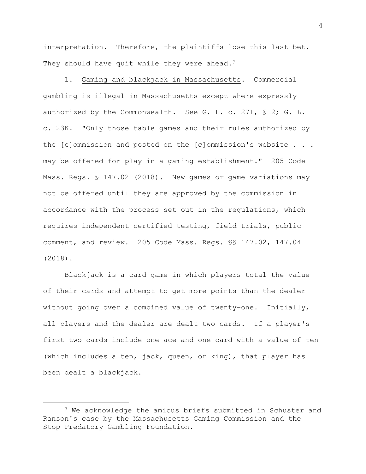interpretation. Therefore, the plaintiffs lose this last bet. They should have quit while they were ahead.<sup>7</sup>

1. Gaming and blackjack in Massachusetts. Commercial gambling is illegal in Massachusetts except where expressly authorized by the Commonwealth. See G. L. c. 271, § 2; G. L. c. 23K. "Only those table games and their rules authorized by the [c]ommission and posted on the [c]ommission's website . . . may be offered for play in a gaming establishment." 205 Code Mass. Regs. § 147.02 (2018). New games or game variations may not be offered until they are approved by the commission in accordance with the process set out in the regulations, which requires independent certified testing, field trials, public comment, and review. 205 Code Mass. Regs. §§ 147.02, 147.04 (2018).

Blackjack is a card game in which players total the value of their cards and attempt to get more points than the dealer without going over a combined value of twenty-one. Initially, all players and the dealer are dealt two cards. If a player's first two cards include one ace and one card with a value of ten (which includes a ten, jack, queen, or king), that player has been dealt a blackjack.

<sup>&</sup>lt;sup>7</sup> We acknowledge the amicus briefs submitted in Schuster and Ranson's case by the Massachusetts Gaming Commission and the Stop Predatory Gambling Foundation.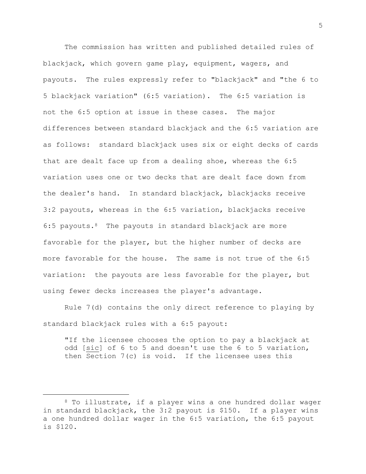The commission has written and published detailed rules of blackjack, which govern game play, equipment, wagers, and payouts. The rules expressly refer to "blackjack" and "the 6 to 5 blackjack variation" (6:5 variation). The 6:5 variation is not the 6:5 option at issue in these cases. The major differences between standard blackjack and the 6:5 variation are as follows: standard blackjack uses six or eight decks of cards that are dealt face up from a dealing shoe, whereas the 6:5 variation uses one or two decks that are dealt face down from the dealer's hand. In standard blackjack, blackjacks receive 3:2 payouts, whereas in the 6:5 variation, blackjacks receive 6:5 payouts.8 The payouts in standard blackjack are more favorable for the player, but the higher number of decks are more favorable for the house. The same is not true of the 6:5 variation: the payouts are less favorable for the player, but using fewer decks increases the player's advantage.

Rule 7(d) contains the only direct reference to playing by standard blackjack rules with a 6:5 payout:

"If the licensee chooses the option to pay a blackjack at odd [sic] of 6 to 5 and doesn't use the 6 to 5 variation, then Section 7(c) is void. If the licensee uses this

<sup>8</sup> To illustrate, if a player wins a one hundred dollar wager in standard blackjack, the 3:2 payout is \$150. If a player wins a one hundred dollar wager in the 6:5 variation, the 6:5 payout is \$120.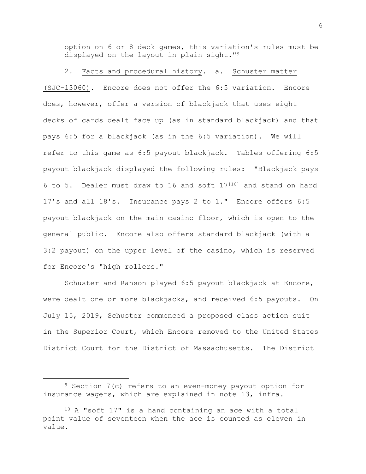option on 6 or 8 deck games, this variation's rules must be displayed on the layout in plain sight."<sup>9</sup>

2. Facts and procedural history. a. Schuster matter (SJC-13060). Encore does not offer the 6:5 variation. Encore does, however, offer a version of blackjack that uses eight decks of cards dealt face up (as in standard blackjack) and that pays 6:5 for a blackjack (as in the 6:5 variation). We will refer to this game as 6:5 payout blackjack. Tables offering 6:5 payout blackjack displayed the following rules: "Blackjack pays 6 to 5. Dealer must draw to 16 and soft 17[10] and stand on hard 17's and all 18's. Insurance pays 2 to 1." Encore offers 6:5 payout blackjack on the main casino floor, which is open to the general public. Encore also offers standard blackjack (with a 3:2 payout) on the upper level of the casino, which is reserved for Encore's "high rollers."

Schuster and Ranson played 6:5 payout blackjack at Encore, were dealt one or more blackjacks, and received 6:5 payouts. On July 15, 2019, Schuster commenced a proposed class action suit in the Superior Court, which Encore removed to the United States District Court for the District of Massachusetts. The District

<sup>9</sup> Section 7(c) refers to an even-money payout option for insurance wagers, which are explained in note 13, infra.

<sup>10</sup> A "soft 17" is a hand containing an ace with a total point value of seventeen when the ace is counted as eleven in value.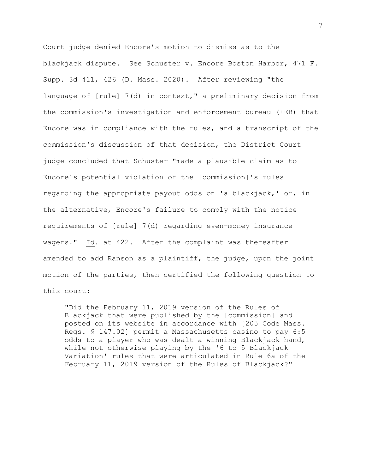Court judge denied Encore's motion to dismiss as to the blackjack dispute. See Schuster v. Encore Boston Harbor, 471 F. Supp. 3d 411, 426 (D. Mass. 2020). After reviewing "the language of [rule] 7(d) in context," a preliminary decision from the commission's investigation and enforcement bureau (IEB) that Encore was in compliance with the rules, and a transcript of the commission's discussion of that decision, the District Court judge concluded that Schuster "made a plausible claim as to Encore's potential violation of the [commission]'s rules regarding the appropriate payout odds on 'a blackjack,' or, in the alternative, Encore's failure to comply with the notice requirements of [rule] 7(d) regarding even-money insurance wagers." Id. at 422. After the complaint was thereafter amended to add Ranson as a plaintiff, the judge, upon the joint motion of the parties, then certified the following question to this court:

"Did the February 11, 2019 version of the Rules of Blackjack that were published by the [commission] and posted on its website in accordance with [205 Code Mass. Regs. § 147.02] permit a Massachusetts casino to pay 6:5 odds to a player who was dealt a winning Blackjack hand, while not otherwise playing by the '6 to 5 Blackjack Variation' rules that were articulated in Rule 6a of the February 11, 2019 version of the Rules of Blackjack?"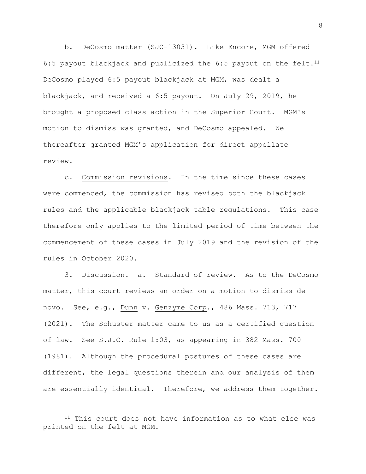b. DeCosmo matter (SJC-13031). Like Encore, MGM offered 6:5 payout blackjack and publicized the 6:5 payout on the felt.<sup>11</sup> DeCosmo played 6:5 payout blackjack at MGM, was dealt a blackjack, and received a 6:5 payout. On July 29, 2019, he brought a proposed class action in the Superior Court. MGM's motion to dismiss was granted, and DeCosmo appealed. We thereafter granted MGM's application for direct appellate review.

c. Commission revisions. In the time since these cases were commenced, the commission has revised both the blackjack rules and the applicable blackjack table regulations. This case therefore only applies to the limited period of time between the commencement of these cases in July 2019 and the revision of the rules in October 2020.

3. Discussion. a. Standard of review. As to the DeCosmo matter, this court reviews an order on a motion to dismiss de novo. See, e.g., Dunn v. Genzyme Corp., 486 Mass. 713, 717 (2021). The Schuster matter came to us as a certified question of law. See S.J.C. Rule 1:03, as appearing in 382 Mass. 700 (1981). Although the procedural postures of these cases are different, the legal questions therein and our analysis of them are essentially identical. Therefore, we address them together.

<sup>&</sup>lt;sup>11</sup> This court does not have information as to what else was printed on the felt at MGM.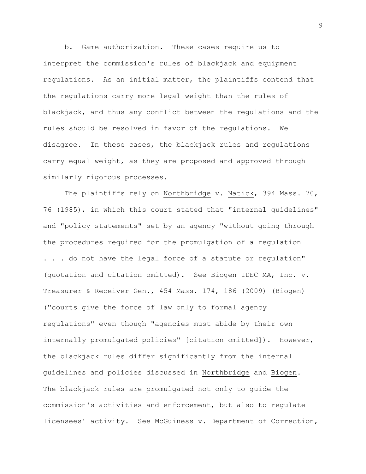b. Game authorization. These cases require us to interpret the commission's rules of blackjack and equipment regulations. As an initial matter, the plaintiffs contend that the regulations carry more legal weight than the rules of blackjack, and thus any conflict between the regulations and the rules should be resolved in favor of the regulations. We disagree. In these cases, the blackjack rules and regulations carry equal weight, as they are proposed and approved through similarly rigorous processes.

The plaintiffs rely on Northbridge v. Natick, 394 Mass. 70, 76 (1985), in which this court stated that "internal guidelines" and "policy statements" set by an agency "without going through the procedures required for the promulgation of a regulation . . . do not have the legal force of a statute or regulation" (quotation and citation omitted). See Biogen IDEC MA, Inc. v. Treasurer & Receiver Gen., 454 Mass. 174, 186 (2009) (Biogen) ("courts give the force of law only to formal agency regulations" even though "agencies must abide by their own internally promulgated policies" [citation omitted]). However, the blackjack rules differ significantly from the internal guidelines and policies discussed in Northbridge and Biogen. The blackjack rules are promulgated not only to guide the commission's activities and enforcement, but also to regulate licensees' activity. See McGuiness v. Department of Correction,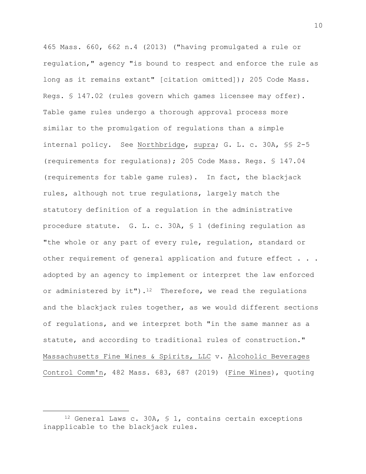465 Mass. 660, 662 n.4 (2013) ("having promulgated a rule or regulation," agency "is bound to respect and enforce the rule as long as it remains extant" [citation omitted]); 205 Code Mass. Regs. § 147.02 (rules govern which games licensee may offer). Table game rules undergo a thorough approval process more similar to the promulgation of regulations than a simple internal policy. See Northbridge, supra; G. L. c. 30A, §§ 2-5 (requirements for regulations); 205 Code Mass. Regs. § 147.04 (requirements for table game rules). In fact, the blackjack rules, although not true regulations, largely match the statutory definition of a regulation in the administrative procedure statute. G. L. c. 30A, § 1 (defining regulation as "the whole or any part of every rule, regulation, standard or other requirement of general application and future effect . . . adopted by an agency to implement or interpret the law enforced or administered by it").<sup>12</sup> Therefore, we read the regulations and the blackjack rules together, as we would different sections of regulations, and we interpret both "in the same manner as a statute, and according to traditional rules of construction." Massachusetts Fine Wines & Spirits, LLC v. Alcoholic Beverages Control Comm'n, 482 Mass. 683, 687 (2019) (Fine Wines), quoting

<sup>&</sup>lt;sup>12</sup> General Laws c. 30A,  $\frac{1}{2}$ , contains certain exceptions inapplicable to the blackjack rules.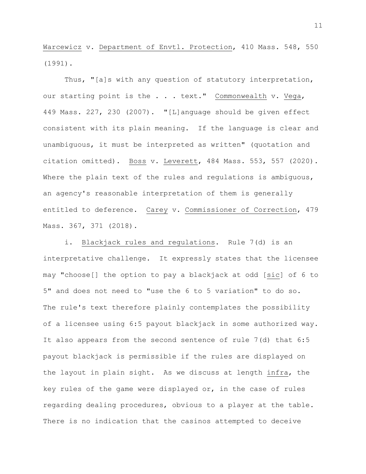Warcewicz v. Department of Envtl. Protection, 410 Mass. 548, 550 (1991).

Thus, "[a]s with any question of statutory interpretation, our starting point is the . . . text." Commonwealth v. Vega, 449 Mass. 227, 230 (2007). "[L]anguage should be given effect consistent with its plain meaning. If the language is clear and unambiguous, it must be interpreted as written" (quotation and citation omitted). Boss v. Leverett, 484 Mass. 553, 557 (2020). Where the plain text of the rules and regulations is ambiguous, an agency's reasonable interpretation of them is generally entitled to deference. Carey v. Commissioner of Correction, 479 Mass. 367, 371 (2018).

i. Blackjack rules and regulations. Rule 7(d) is an interpretative challenge. It expressly states that the licensee may "choose[] the option to pay a blackjack at odd [sic] of 6 to 5" and does not need to "use the 6 to 5 variation" to do so. The rule's text therefore plainly contemplates the possibility of a licensee using 6:5 payout blackjack in some authorized way. It also appears from the second sentence of rule 7(d) that 6:5 payout blackjack is permissible if the rules are displayed on the layout in plain sight. As we discuss at length infra, the key rules of the game were displayed or, in the case of rules regarding dealing procedures, obvious to a player at the table. There is no indication that the casinos attempted to deceive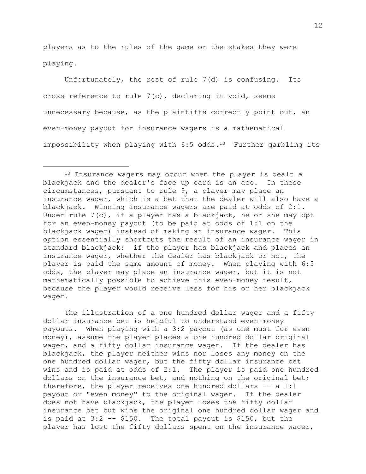players as to the rules of the game or the stakes they were playing.

Unfortunately, the rest of rule 7(d) is confusing. Its cross reference to rule 7(c), declaring it void, seems unnecessary because, as the plaintiffs correctly point out, an even-money payout for insurance wagers is a mathematical impossibility when playing with  $6:5$  odds.<sup>13</sup> Further garbling its

The illustration of a one hundred dollar wager and a fifty dollar insurance bet is helpful to understand even-money payouts. When playing with a 3:2 payout (as one must for even money), assume the player places a one hundred dollar original wager, and a fifty dollar insurance wager. If the dealer has blackjack, the player neither wins nor loses any money on the one hundred dollar wager, but the fifty dollar insurance bet wins and is paid at odds of 2:1. The player is paid one hundred dollars on the insurance bet, and nothing on the original bet; therefore, the player receives one hundred dollars -- a 1:1 payout or "even money" to the original wager. If the dealer does not have blackjack, the player loses the fifty dollar insurance bet but wins the original one hundred dollar wager and is paid at  $3:2$  --  $$150$ . The total payout is  $$150$ , but the player has lost the fifty dollars spent on the insurance wager,

<sup>13</sup> Insurance wagers may occur when the player is dealt a blackjack and the dealer's face up card is an ace. In these circumstances, pursuant to rule 9, a player may place an insurance wager, which is a bet that the dealer will also have a blackjack. Winning insurance wagers are paid at odds of 2:1. Under rule 7(c), if a player has a blackjack, he or she may opt for an even-money payout (to be paid at odds of 1:1 on the blackjack wager) instead of making an insurance wager. This option essentially shortcuts the result of an insurance wager in standard blackjack: if the player has blackjack and places an insurance wager, whether the dealer has blackjack or not, the player is paid the same amount of money. When playing with 6:5 odds, the player may place an insurance wager, but it is not mathematically possible to achieve this even-money result, because the player would receive less for his or her blackjack wager.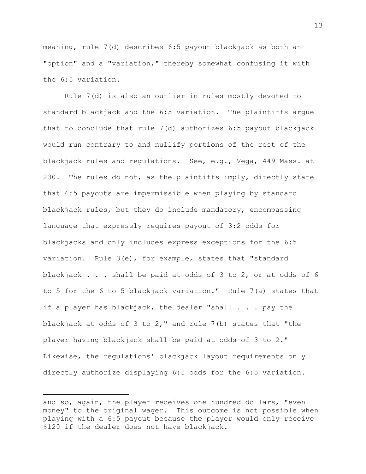meaning, rule 7(d) describes 6:5 payout blackjack as both an "option" and a "variation," thereby somewhat confusing it with the 6:5 variation.

Rule 7(d) is also an outlier in rules mostly devoted to standard blackjack and the 6:5 variation. The plaintiffs argue that to conclude that rule 7(d) authorizes 6:5 payout blackjack would run contrary to and nullify portions of the rest of the blackjack rules and regulations. See, e.g., Vega, 449 Mass. at 230. The rules do not, as the plaintiffs imply, directly state that 6:5 payouts are impermissible when playing by standard blackjack rules, but they do include mandatory, encompassing language that expressly requires payout of 3:2 odds for blackjacks and only includes express exceptions for the 6:5 variation. Rule 3(e), for example, states that "standard blackjack . . . shall be paid at odds of 3 to 2, or at odds of 6 to 5 for the 6 to 5 blackjack variation." Rule 7(a) states that if a player has blackjack, the dealer "shall . . . pay the blackjack at odds of  $3$  to  $2,$ " and rule  $7$ (b) states that "the player having blackjack shall be paid at odds of 3 to 2." Likewise, the regulations' blackjack layout requirements only directly authorize displaying 6:5 odds for the 6:5 variation.

and so, again, the player receives one hundred dollars, "even money" to the original wager. This outcome is not possible when playing with a 6:5 payout because the player would only receive \$120 if the dealer does not have blackjack.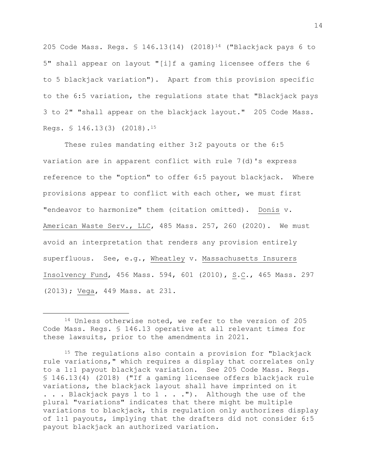205 Code Mass. Regs. § 146.13(14) (2018)<sup>14</sup> ("Blackjack pays 6 to 5" shall appear on layout "[i]f a gaming licensee offers the 6 to 5 blackjack variation"). Apart from this provision specific to the 6:5 variation, the regulations state that "Blackjack pays 3 to 2" "shall appear on the blackjack layout." 205 Code Mass. Regs. § 146.13(3) (2018).<sup>15</sup>

These rules mandating either 3:2 payouts or the 6:5 variation are in apparent conflict with rule 7(d)'s express reference to the "option" to offer 6:5 payout blackjack. Where provisions appear to conflict with each other, we must first "endeavor to harmonize" them (citation omitted). Donis v. American Waste Serv., LLC, 485 Mass. 257, 260 (2020). We must avoid an interpretation that renders any provision entirely superfluous. See, e.g., Wheatley v. Massachusetts Insurers Insolvency Fund, 456 Mass. 594, 601 (2010), S.C., 465 Mass. 297 (2013); Vega, 449 Mass. at 231.

<sup>14</sup> Unless otherwise noted, we refer to the version of 205 Code Mass. Regs. § 146.13 operative at all relevant times for these lawsuits, prior to the amendments in 2021.

<sup>&</sup>lt;sup>15</sup> The regulations also contain a provision for "blackjack rule variations," which requires a display that correlates only to a 1:1 payout blackjack variation. See 205 Code Mass. Regs. § 146.13(4) (2018) ("If a gaming licensee offers blackjack rule variations, the blackjack layout shall have imprinted on it . . . Blackjack pays 1 to 1 . . ."). Although the use of the plural "variations" indicates that there might be multiple variations to blackjack, this regulation only authorizes display of 1:1 payouts, implying that the drafters did not consider 6:5 payout blackjack an authorized variation.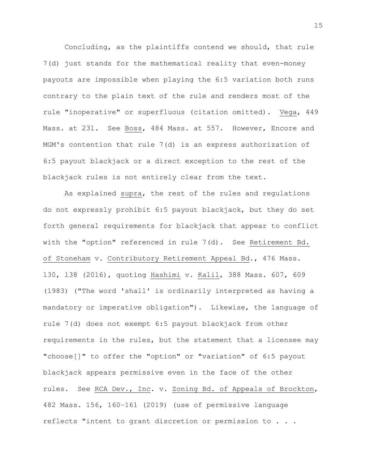Concluding, as the plaintiffs contend we should, that rule 7(d) just stands for the mathematical reality that even-money payouts are impossible when playing the 6:5 variation both runs contrary to the plain text of the rule and renders most of the rule "inoperative" or superfluous (citation omitted). Vega, 449 Mass. at 231. See Boss, 484 Mass. at 557. However, Encore and MGM's contention that rule 7(d) is an express authorization of 6:5 payout blackjack or a direct exception to the rest of the blackjack rules is not entirely clear from the text.

As explained supra, the rest of the rules and regulations do not expressly prohibit 6:5 payout blackjack, but they do set forth general requirements for blackjack that appear to conflict with the "option" referenced in rule 7(d). See Retirement Bd. of Stoneham v. Contributory Retirement Appeal Bd., 476 Mass. 130, 138 (2016), quoting Hashimi v. Kalil, 388 Mass. 607, 609 (1983) ("The word 'shall' is ordinarily interpreted as having a mandatory or imperative obligation"). Likewise, the language of rule 7(d) does not exempt 6:5 payout blackjack from other requirements in the rules, but the statement that a licensee may "choose[]" to offer the "option" or "variation" of 6:5 payout blackjack appears permissive even in the face of the other rules. See RCA Dev., Inc. v. Zoning Bd. of Appeals of Brockton, 482 Mass. 156, 160–161 (2019) (use of permissive language reflects "intent to grant discretion or permission to . . .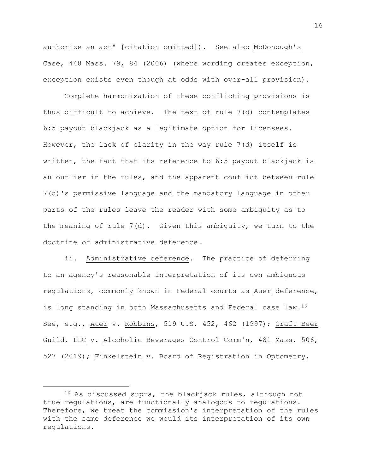authorize an act" [citation omitted]). See also McDonough's Case, 448 Mass. 79, 84 (2006) (where wording creates exception, exception exists even though at odds with over-all provision).

Complete harmonization of these conflicting provisions is thus difficult to achieve. The text of rule 7(d) contemplates 6:5 payout blackjack as a legitimate option for licensees. However, the lack of clarity in the way rule 7(d) itself is written, the fact that its reference to 6:5 payout blackjack is an outlier in the rules, and the apparent conflict between rule 7(d)'s permissive language and the mandatory language in other parts of the rules leave the reader with some ambiguity as to the meaning of rule  $7(d)$ . Given this ambiguity, we turn to the doctrine of administrative deference.

ii. Administrative deference. The practice of deferring to an agency's reasonable interpretation of its own ambiguous regulations, commonly known in Federal courts as Auer deference, is long standing in both Massachusetts and Federal case law.<sup>16</sup> See, e.g., Auer v. Robbins, 519 U.S. 452, 462 (1997); Craft Beer Guild, LLC v. Alcoholic Beverages Control Comm'n, 481 Mass. 506, 527 (2019); Finkelstein v. Board of Registration in Optometry,

<sup>&</sup>lt;sup>16</sup> As discussed supra, the blackjack rules, although not true regulations, are functionally analogous to regulations. Therefore, we treat the commission's interpretation of the rules with the same deference we would its interpretation of its own regulations.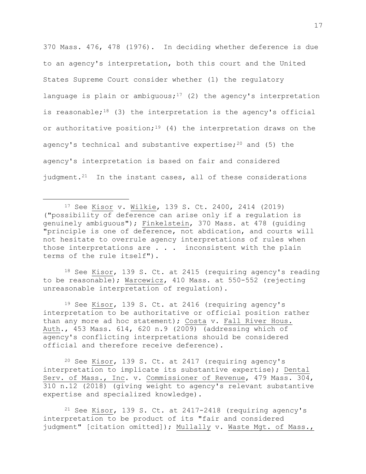370 Mass. 476, 478 (1976). In deciding whether deference is due to an agency's interpretation, both this court and the United States Supreme Court consider whether (1) the regulatory language is plain or ambiguous;<sup>17</sup> (2) the agency's interpretation is reasonable;<sup>18</sup> (3) the interpretation is the agency's official or authoritative position;<sup>19</sup> (4) the interpretation draws on the agency's technical and substantive expertise; $20$  and (5) the agency's interpretation is based on fair and considered judgment.<sup>21</sup> In the instant cases, all of these considerations

18 See Kisor, 139 S. Ct. at 2415 (requiring agency's reading to be reasonable); Warcewicz, 410 Mass. at 550-552 (rejecting unreasonable interpretation of regulation).

<sup>19</sup> See Kisor, 139 S. Ct. at 2416 (requiring agency's interpretation to be authoritative or official position rather than any more ad hoc statement); Costa v. Fall River Hous. Auth., 453 Mass. 614, 620 n.9 (2009) (addressing which of agency's conflicting interpretations should be considered official and therefore receive deference).

<sup>20</sup> See Kisor, 139 S. Ct. at 2417 (requiring agency's interpretation to implicate its substantive expertise); Dental Serv. of Mass., Inc. v. Commissioner of Revenue, 479 Mass. 304, 310 n.12 (2018) (giving weight to agency's relevant substantive expertise and specialized knowledge).

 $21$  See Kisor, 139 S. Ct. at 2417-2418 (requiring agency's interpretation to be product of its "fair and considered judgment" [citation omitted]); Mullally v. Waste Mgt. of Mass.,

<sup>17</sup> See Kisor v. Wilkie, 139 S. Ct. 2400, 2414 (2019) ("possibility of deference can arise only if a regulation is genuinely ambiguous"); Finkelstein, 370 Mass. at 478 (guiding "principle is one of deference, not abdication, and courts will not hesitate to overrule agency interpretations of rules when those interpretations are . . . inconsistent with the plain terms of the rule itself").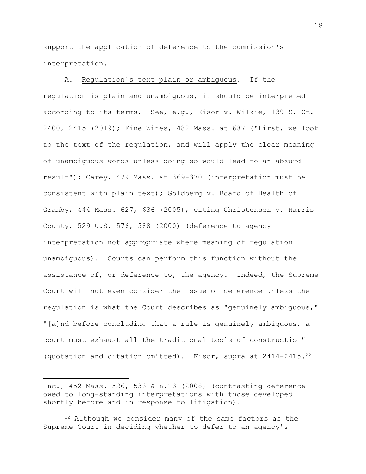support the application of deference to the commission's interpretation.

A. Regulation's text plain or ambiguous. If the regulation is plain and unambiguous, it should be interpreted according to its terms. See, e.g., Kisor v. Wilkie, 139 S. Ct. 2400, 2415 (2019); Fine Wines, 482 Mass. at 687 ("First, we look to the text of the regulation, and will apply the clear meaning of unambiguous words unless doing so would lead to an absurd result"); Carey, 479 Mass. at 369-370 (interpretation must be consistent with plain text); Goldberg v. Board of Health of Granby, 444 Mass. 627, 636 (2005), citing Christensen v. Harris County, 529 U.S. 576, 588 (2000) (deference to agency interpretation not appropriate where meaning of regulation unambiguous). Courts can perform this function without the assistance of, or deference to, the agency. Indeed, the Supreme Court will not even consider the issue of deference unless the regulation is what the Court describes as "genuinely ambiguous," "[a]nd before concluding that a rule is genuinely ambiguous, a court must exhaust all the traditional tools of construction" (quotation and citation omitted). Kisor, supra at 2414-2415.<sup>22</sup>

<sup>22</sup> Although we consider many of the same factors as the Supreme Court in deciding whether to defer to an agency's

Inc., 452 Mass. 526, 533 & n.13 (2008) (contrasting deference owed to long-standing interpretations with those developed shortly before and in response to litigation).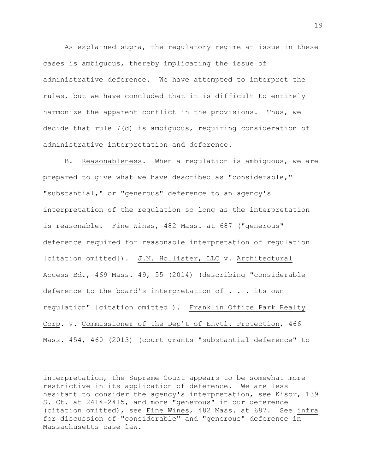As explained supra, the regulatory regime at issue in these cases is ambiguous, thereby implicating the issue of administrative deference. We have attempted to interpret the rules, but we have concluded that it is difficult to entirely harmonize the apparent conflict in the provisions. Thus, we decide that rule 7(d) is ambiguous, requiring consideration of administrative interpretation and deference.

B. Reasonableness. When a regulation is ambiguous, we are prepared to give what we have described as "considerable," "substantial," or "generous" deference to an agency's interpretation of the regulation so long as the interpretation is reasonable. Fine Wines, 482 Mass. at 687 ("generous" deference required for reasonable interpretation of regulation [citation omitted]). J.M. Hollister, LLC v. Architectural Access Bd., 469 Mass. 49, 55 (2014) (describing "considerable deference to the board's interpretation of . . . its own regulation" [citation omitted]). Franklin Office Park Realty Corp. v. Commissioner of the Dep't of Envtl. Protection, 466 Mass. 454, 460 (2013) (court grants "substantial deference" to

interpretation, the Supreme Court appears to be somewhat more restrictive in its application of deference. We are less hesitant to consider the agency's interpretation, see Kisor, 139 S. Ct. at 2414-2415, and more "generous" in our deference (citation omitted), see Fine Wines, 482 Mass. at 687. See infra for discussion of "considerable" and "generous" deference in Massachusetts case law.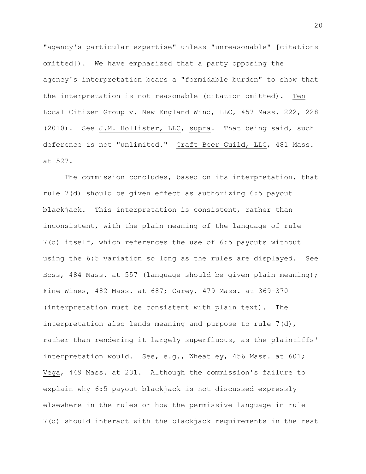"agency's particular expertise" unless "unreasonable" [citations omitted]). We have emphasized that a party opposing the agency's interpretation bears a "formidable burden" to show that the interpretation is not reasonable (citation omitted). Ten Local Citizen Group v. New England Wind, LLC, 457 Mass. 222, 228 (2010). See J.M. Hollister, LLC, supra. That being said, such deference is not "unlimited." Craft Beer Guild, LLC, 481 Mass. at 527.

The commission concludes, based on its interpretation, that rule 7(d) should be given effect as authorizing 6:5 payout blackjack. This interpretation is consistent, rather than inconsistent, with the plain meaning of the language of rule 7(d) itself, which references the use of 6:5 payouts without using the 6:5 variation so long as the rules are displayed. See Boss, 484 Mass. at 557 (language should be given plain meaning); Fine Wines, 482 Mass. at 687; Carey, 479 Mass. at 369-370 (interpretation must be consistent with plain text). The interpretation also lends meaning and purpose to rule  $7(d)$ , rather than rendering it largely superfluous, as the plaintiffs' interpretation would. See, e.g., Wheatley, 456 Mass. at 601; Vega, 449 Mass. at 231. Although the commission's failure to explain why 6:5 payout blackjack is not discussed expressly elsewhere in the rules or how the permissive language in rule 7(d) should interact with the blackjack requirements in the rest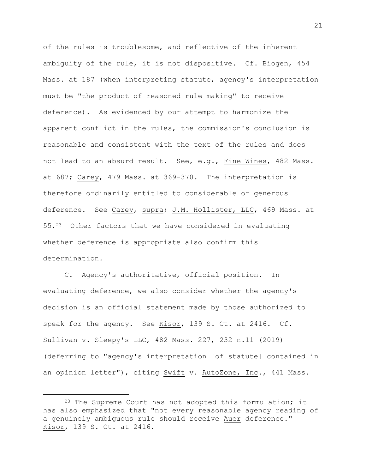of the rules is troublesome, and reflective of the inherent ambiguity of the rule, it is not dispositive. Cf. Biogen, 454 Mass. at 187 (when interpreting statute, agency's interpretation must be "the product of reasoned rule making" to receive deference). As evidenced by our attempt to harmonize the apparent conflict in the rules, the commission's conclusion is reasonable and consistent with the text of the rules and does not lead to an absurd result. See, e.g., Fine Wines, 482 Mass. at 687; Carey, 479 Mass. at 369-370. The interpretation is therefore ordinarily entitled to considerable or generous deference. See Carey, supra; J.M. Hollister, LLC, 469 Mass. at  $55.23$  Other factors that we have considered in evaluating whether deference is appropriate also confirm this determination.

C. Agency's authoritative, official position. In evaluating deference, we also consider whether the agency's decision is an official statement made by those authorized to speak for the agency. See Kisor, 139 S. Ct. at 2416. Cf. Sullivan v. Sleepy's LLC, 482 Mass. 227, 232 n.11 (2019) (deferring to "agency's interpretation [of statute] contained in an opinion letter"), citing Swift v. AutoZone, Inc., 441 Mass.

<sup>&</sup>lt;sup>23</sup> The Supreme Court has not adopted this formulation; it has also emphasized that "not every reasonable agency reading of a genuinely ambiguous rule should receive Auer deference." Kisor, 139 S. Ct. at 2416.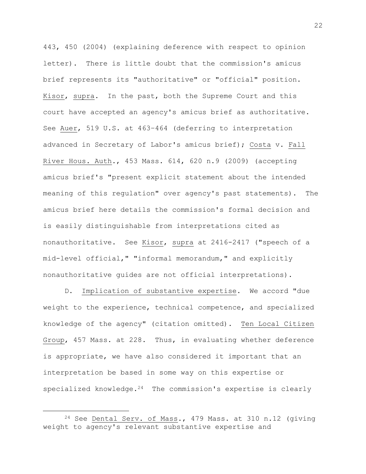443, 450 (2004) (explaining deference with respect to opinion letter). There is little doubt that the commission's amicus brief represents its "authoritative" or "official" position. Kisor, supra. In the past, both the Supreme Court and this court have accepted an agency's amicus brief as authoritative. See Auer, 519 U.S. at 463–464 (deferring to interpretation advanced in Secretary of Labor's amicus brief); Costa v. Fall River Hous. Auth., 453 Mass. 614, 620 n.9 (2009) (accepting amicus brief's "present explicit statement about the intended meaning of this regulation" over agency's past statements). The amicus brief here details the commission's formal decision and is easily distinguishable from interpretations cited as nonauthoritative. See Kisor, supra at 2416-2417 ("speech of a mid-level official," "informal memorandum," and explicitly nonauthoritative guides are not official interpretations).

D. Implication of substantive expertise. We accord "due weight to the experience, technical competence, and specialized knowledge of the agency" (citation omitted). Ten Local Citizen Group, 457 Mass. at 228. Thus, in evaluating whether deference is appropriate, we have also considered it important that an interpretation be based in some way on this expertise or specialized knowledge. $24$  The commission's expertise is clearly

<sup>24</sup> See Dental Serv. of Mass., 479 Mass. at 310 n.12 (giving weight to agency's relevant substantive expertise and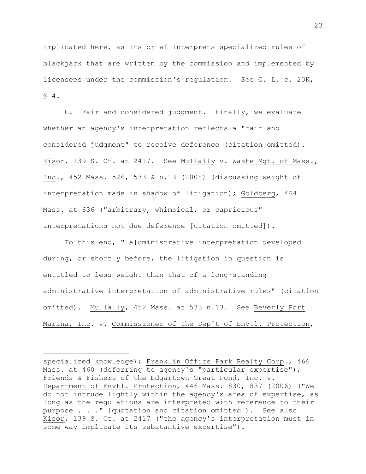implicated here, as its brief interprets specialized rules of blackjack that are written by the commission and implemented by licensees under the commission's regulation. See G. L. c. 23K,  $$4.$ 

E. Fair and considered judgment. Finally, we evaluate whether an agency's interpretation reflects a "fair and considered judgment" to receive deference (citation omitted). Kisor, 139 S. Ct. at 2417. See Mullally v. Waste Mgt. of Mass., Inc., 452 Mass. 526, 533 & n.13 (2008) (discussing weight of interpretation made in shadow of litigation); Goldberg, 444 Mass. at 636 ("arbitrary, whimsical, or capricious" interpretations not due deference [citation omitted]).

To this end, "[a]dministrative interpretation developed during, or shortly before, the litigation in question is entitled to less weight than that of a long-standing administrative interpretation of administrative rules" (citation omitted). Mullally, 452 Mass. at 533 n.13. See Beverly Port Marina, Inc. v. Commissioner of the Dep't of Envtl. Protection,

specialized knowledge); Franklin Office Park Realty Corp*.*, 466 Mass. at 460 (deferring to agency's "particular expertise"); Friends & Fishers of the Edgartown Great Pond, Inc. v. Department of Envtl. Protection, 446 Mass. 830, 837 (2006) ("We do not intrude lightly within the agency's area of expertise, as long as the regulations are interpreted with reference to their purpose . . ." [quotation and citation omitted]). See also Kisor, 139 S. Ct. at 2417 ("the agency's interpretation must in some way implicate its substantive expertise").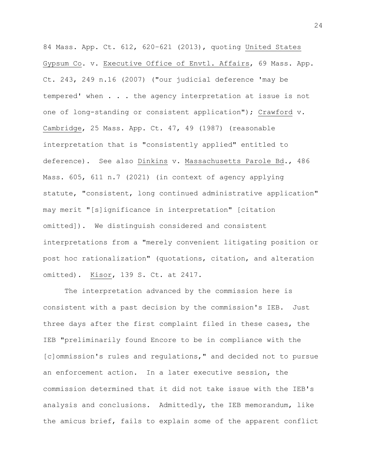84 Mass. App. Ct. 612, 620–621 (2013), quoting United States Gypsum Co. v. Executive Office of Envtl. Affairs, 69 Mass. App. Ct. 243, 249 n.16 (2007) ("our judicial deference 'may be tempered' when . . . the agency interpretation at issue is not one of long-standing or consistent application"); Crawford v. Cambridge, 25 Mass. App. Ct. 47, 49 (1987) (reasonable interpretation that is "consistently applied" entitled to deference). See also Dinkins v. Massachusetts Parole Bd., 486 Mass. 605, 611 n.7 (2021) (in context of agency applying statute, "consistent, long continued administrative application" may merit "[s]ignificance in interpretation" [citation omitted]). We distinguish considered and consistent interpretations from a "merely convenient litigating position or post hoc rationalization" (quotations, citation, and alteration omitted). Kisor, 139 S. Ct. at 2417.

The interpretation advanced by the commission here is consistent with a past decision by the commission's IEB. Just three days after the first complaint filed in these cases, the IEB "preliminarily found Encore to be in compliance with the [c]ommission's rules and regulations," and decided not to pursue an enforcement action. In a later executive session, the commission determined that it did not take issue with the IEB's analysis and conclusions. Admittedly, the IEB memorandum, like the amicus brief, fails to explain some of the apparent conflict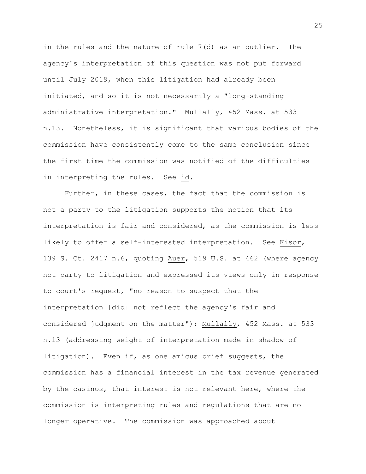in the rules and the nature of rule 7(d) as an outlier. The agency's interpretation of this question was not put forward until July 2019, when this litigation had already been initiated, and so it is not necessarily a "long-standing administrative interpretation." Mullally, 452 Mass. at 533 n.13. Nonetheless, it is significant that various bodies of the commission have consistently come to the same conclusion since the first time the commission was notified of the difficulties in interpreting the rules. See id.

Further, in these cases, the fact that the commission is not a party to the litigation supports the notion that its interpretation is fair and considered, as the commission is less likely to offer a self-interested interpretation. See Kisor, 139 S. Ct. 2417 n.6, quoting Auer, 519 U.S. at 462 (where agency not party to litigation and expressed its views only in response to court's request, "no reason to suspect that the interpretation [did] not reflect the agency's fair and considered judgment on the matter"); Mullally, 452 Mass. at 533 n.13 (addressing weight of interpretation made in shadow of litigation). Even if, as one amicus brief suggests, the commission has a financial interest in the tax revenue generated by the casinos, that interest is not relevant here, where the commission is interpreting rules and regulations that are no longer operative. The commission was approached about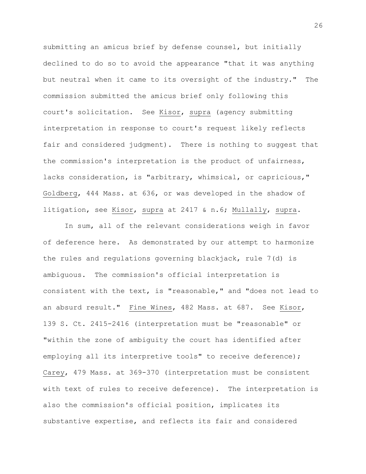submitting an amicus brief by defense counsel, but initially declined to do so to avoid the appearance "that it was anything but neutral when it came to its oversight of the industry." The commission submitted the amicus brief only following this court's solicitation. See Kisor, supra (agency submitting interpretation in response to court's request likely reflects fair and considered judgment). There is nothing to suggest that the commission's interpretation is the product of unfairness, lacks consideration, is "arbitrary, whimsical, or capricious," Goldberg, 444 Mass. at 636, or was developed in the shadow of litigation, see Kisor, supra at 2417 & n.6; Mullally, supra.

In sum, all of the relevant considerations weigh in favor of deference here. As demonstrated by our attempt to harmonize the rules and regulations governing blackjack, rule 7(d) is ambiguous. The commission's official interpretation is consistent with the text, is "reasonable," and "does not lead to an absurd result." Fine Wines, 482 Mass. at 687. See Kisor, 139 S. Ct. 2415-2416 (interpretation must be "reasonable" or "within the zone of ambiguity the court has identified after employing all its interpretive tools" to receive deference); Carey, 479 Mass. at 369-370 (interpretation must be consistent with text of rules to receive deference). The interpretation is also the commission's official position, implicates its substantive expertise, and reflects its fair and considered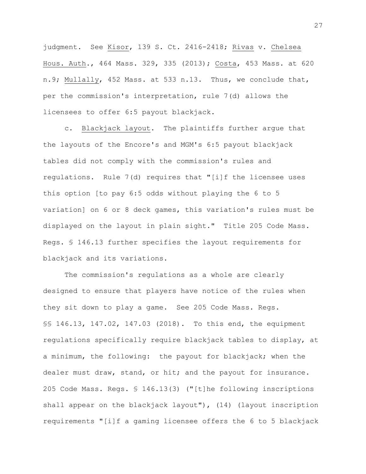judgment. See Kisor, 139 S. Ct. 2416-2418; Rivas v. Chelsea Hous. Auth., 464 Mass. 329, 335 (2013); Costa, 453 Mass. at 620 n.9; Mullally, 452 Mass. at 533 n.13. Thus, we conclude that, per the commission's interpretation, rule 7(d) allows the licensees to offer 6:5 payout blackjack.

c. Blackjack layout. The plaintiffs further argue that the layouts of the Encore's and MGM's 6:5 payout blackjack tables did not comply with the commission's rules and regulations. Rule 7(d) requires that "[i]f the licensee uses this option [to pay 6:5 odds without playing the 6 to 5 variation] on 6 or 8 deck games, this variation's rules must be displayed on the layout in plain sight." Title 205 Code Mass. Regs. § 146.13 further specifies the layout requirements for blackjack and its variations.

The commission's regulations as a whole are clearly designed to ensure that players have notice of the rules when they sit down to play a game. See 205 Code Mass. Regs. §§ 146.13, 147.02, 147.03 (2018). To this end, the equipment regulations specifically require blackjack tables to display, at a minimum, the following: the payout for blackjack; when the dealer must draw, stand, or hit; and the payout for insurance. 205 Code Mass. Regs. § 146.13(3) ("[t]he following inscriptions shall appear on the blackjack layout"), (14) (layout inscription requirements "[i]f a gaming licensee offers the 6 to 5 blackjack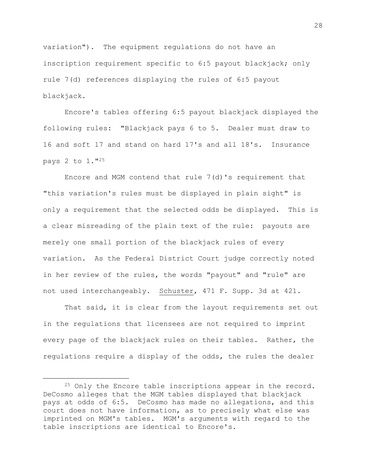variation"). The equipment regulations do not have an inscription requirement specific to 6:5 payout blackjack; only rule 7(d) references displaying the rules of 6:5 payout blackjack.

Encore's tables offering 6:5 payout blackjack displayed the following rules: "Blackjack pays 6 to 5. Dealer must draw to 16 and soft 17 and stand on hard 17's and all 18's. Insurance pays 2 to 1."<sup>25</sup>

Encore and MGM contend that rule 7(d)'s requirement that "this variation's rules must be displayed in plain sight" is only a requirement that the selected odds be displayed. This is a clear misreading of the plain text of the rule: payouts are merely one small portion of the blackjack rules of every variation. As the Federal District Court judge correctly noted in her review of the rules, the words "payout" and "rule" are not used interchangeably. Schuster, 471 F. Supp. 3d at 421.

That said, it is clear from the layout requirements set out in the regulations that licensees are not required to imprint every page of the blackjack rules on their tables. Rather, the regulations require a display of the odds, the rules the dealer

<sup>&</sup>lt;sup>25</sup> Only the Encore table inscriptions appear in the record. DeCosmo alleges that the MGM tables displayed that blackjack pays at odds of 6:5. DeCosmo has made no allegations, and this court does not have information, as to precisely what else was imprinted on MGM's tables. MGM's arguments with regard to the table inscriptions are identical to Encore's.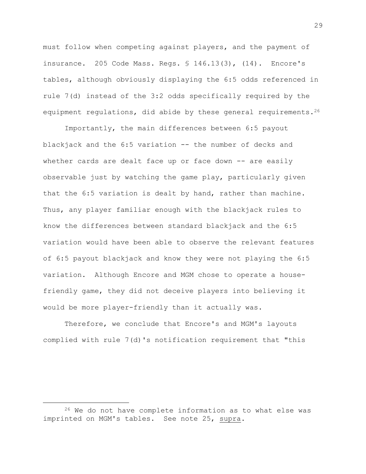must follow when competing against players, and the payment of insurance. 205 Code Mass. Regs. § 146.13(3), (14). Encore's tables, although obviously displaying the 6:5 odds referenced in rule 7(d) instead of the 3:2 odds specifically required by the equipment requlations, did abide by these general requirements.  $26$ 

Importantly, the main differences between 6:5 payout blackjack and the 6:5 variation -- the number of decks and whether cards are dealt face up or face down -- are easily observable just by watching the game play, particularly given that the 6:5 variation is dealt by hand, rather than machine. Thus, any player familiar enough with the blackjack rules to know the differences between standard blackjack and the 6:5 variation would have been able to observe the relevant features of 6:5 payout blackjack and know they were not playing the 6:5 variation. Although Encore and MGM chose to operate a housefriendly game, they did not deceive players into believing it would be more player-friendly than it actually was.

Therefore, we conclude that Encore's and MGM's layouts complied with rule 7(d)'s notification requirement that "this

<sup>26</sup> We do not have complete information as to what else was imprinted on MGM's tables. See note 25, supra.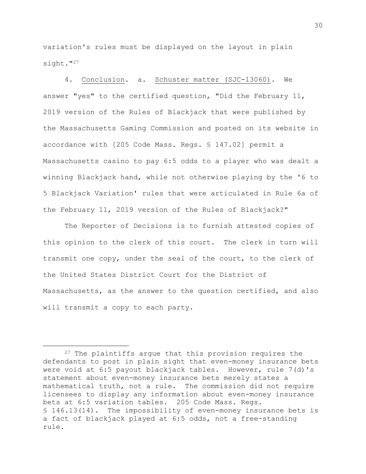variation's rules must be displayed on the layout in plain sight."<sup>27</sup>

4. Conclusion. a. Schuster matter (SJC-13060). We answer "yes" to the certified question, "Did the February 11, 2019 version of the Rules of Blackjack that were published by the Massachusetts Gaming Commission and posted on its website in accordance with [205 Code Mass. Regs. § 147.02] permit a Massachusetts casino to pay 6:5 odds to a player who was dealt a winning Blackjack hand, while not otherwise playing by the '6 to 5 Blackjack Variation' rules that were articulated in Rule 6a of the February 11, 2019 version of the Rules of Blackjack?"

The Reporter of Decisions is to furnish attested copies of this opinion to the clerk of this court. The clerk in turn will transmit one copy, under the seal of the court, to the clerk of the United States District Court for the District of Massachusetts, as the answer to the question certified, and also will transmit a copy to each party.

<sup>&</sup>lt;sup>27</sup> The plaintiffs arque that this provision requires the defendants to post in plain sight that even-money insurance bets were void at 6:5 payout blackjack tables. However, rule 7(d)'s statement about even-money insurance bets merely states a mathematical truth, not a rule. The commission did not require licensees to display any information about even-money insurance bets at 6:5 variation tables. 205 Code Mass. Regs. § 146.13(14). The impossibility of even-money insurance bets is a fact of blackjack played at 6:5 odds, not a free-standing rule.